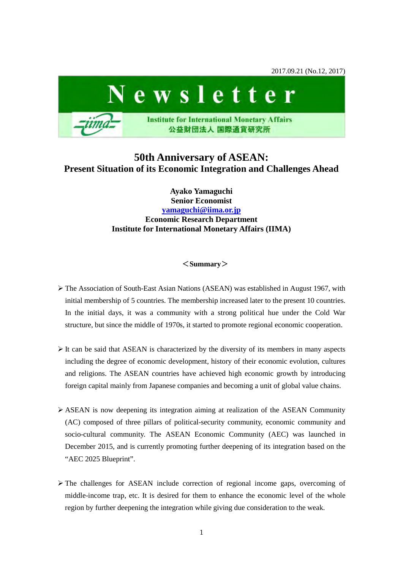2017.09.21 (No.12, 2017)



# **50th Anniversary of ASEAN: Present Situation of its Economic Integration and Challenges Ahead**

### **Ayako Yamaguchi Senior Economist [yamaguchi@iima.or.jp](mailto:yamaguchi@iima.or.jp) Economic Research Department Institute for International Monetary Affairs (IIMA)**

### <**Summary**>

- $\triangleright$  The Association of South-East Asian Nations (ASEAN) was established in August 1967, with initial membership of 5 countries. The membership increased later to the present 10 countries. In the initial days, it was a community with a strong political hue under the Cold War structure, but since the middle of 1970s, it started to promote regional economic cooperation.
- $\triangleright$  It can be said that ASEAN is characterized by the diversity of its members in many aspects including the degree of economic development, history of their economic evolution, cultures and religions. The ASEAN countries have achieved high economic growth by introducing foreign capital mainly from Japanese companies and becoming a unit of global value chains.
- $\triangleright$  ASEAN is now deepening its integration aiming at realization of the ASEAN Community (AC) composed of three pillars of political-security community, economic community and socio-cultural community. The ASEAN Economic Community (AEC) was launched in December 2015, and is currently promoting further deepening of its integration based on the "AEC 2025 Blueprint".
- $\triangleright$  The challenges for ASEAN include correction of regional income gaps, overcoming of middle-income trap, etc. It is desired for them to enhance the economic level of the whole region by further deepening the integration while giving due consideration to the weak.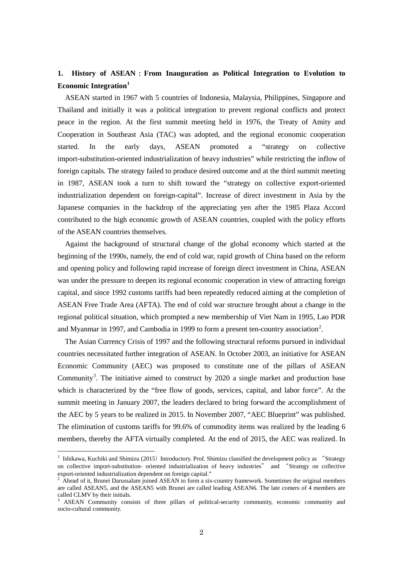## **1. History of ASEAN**:**From Inauguration as Political Integration to Evolution to Economic Integration[1](#page-1-0)**

ASEAN started in 1967 with 5 countries of Indonesia, Malaysia, Philippines, Singapore and Thailand and initially it was a political integration to prevent regional conflicts and protect peace in the region. At the first summit meeting held in 1976, the Treaty of Amity and Cooperation in Southeast Asia (TAC) was adopted, and the regional economic cooperation started. In the early days, ASEAN promoted a "strategy on collective import-substitution-oriented industrialization of heavy industries" while restricting the inflow of foreign capitals. The strategy failed to produce desired outcome and at the third summit meeting in 1987, ASEAN took a turn to shift toward the "strategy on collective export-oriented industrialization dependent on foreign-capital". Increase of direct investment in Asia by the Japanese companies in the backdrop of the appreciating yen after the 1985 Plaza Accord contributed to the high economic growth of ASEAN countries, coupled with the policy efforts of the ASEAN countries themselves.

Against the background of structural change of the global economy which started at the beginning of the 1990s, namely, the end of cold war, rapid growth of China based on the reform and opening policy and following rapid increase of foreign direct investment in China, ASEAN was under the pressure to deepen its regional economic cooperation in view of attracting foreign capital, and since 1992 customs tariffs had been repeatedly reduced aiming at the completion of ASEAN Free Trade Area (AFTA). The end of cold war structure brought about a change in the regional political situation, which prompted a new membership of Viet Nam in 1995, Lao PDR and Myanmar in 1997, and Cambodia in 1999 to form a present ten-country association<sup>[2](#page-1-1)</sup>.

The Asian Currency Crisis of 1997 and the following structural reforms pursued in individual countries necessitated further integration of ASEAN. In October 2003, an initiative for ASEAN Economic Community (AEC) was proposed to constitute one of the pillars of ASEAN Community<sup>[3](#page-1-2)</sup>. The initiative aimed to construct by 2020 a single market and production base which is characterized by the "free flow of goods, services, capital, and labor force". At the summit meeting in January 2007, the leaders declared to bring forward the accomplishment of the AEC by 5 years to be realized in 2015. In November 2007, "AEC Blueprint" was published. The elimination of customs tariffs for 99.6% of commodity items was realized by the leading 6 members, thereby the AFTA virtually completed. At the end of 2015, the AEC was realized. In

<span id="page-1-0"></span><sup>&</sup>lt;sup>1</sup> Ishikawa, Kuchiki and Shimizu (2015) Introductory. Prof. Shimizu classified the development policy as "Strategy on collective import-substitution- oriented industrialization of heavy industries" and "Strategy on collective export-oriented industrialization dependent on foreign capital."<br> $\frac{2}{3}$  Abord of it. Primari Division is in

<span id="page-1-1"></span>Ahead of it, Brunei Darussalam joined ASEAN to form a six-country framework. Sometimes the original members are called ASEAN5, and the ASEAN5 with Brunei are called leading ASEAN6. The late comers of 4 members are called CLMV by their initials.

<span id="page-1-2"></span><sup>3</sup> ASEAN Community consists of three pillars of political-security community, economic community and socio-cultural community.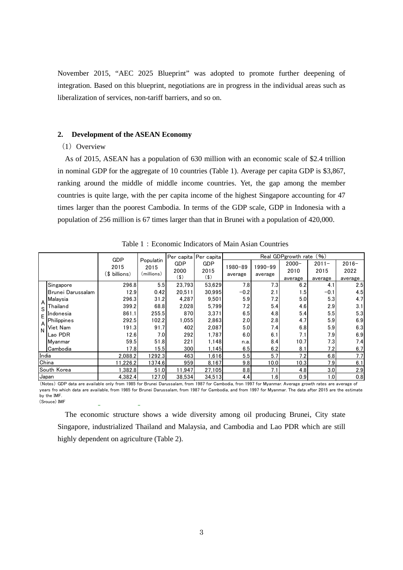November 2015, "AEC 2025 Blueprint" was adopted to promote further deepening of integration. Based on this blueprint, negotiations are in progress in the individual areas such as liberalization of services, non-tariff barriers, and so on.

#### **2. Development of the ASEAN Economy**

### $(1)$  Overview

As of 2015, ASEAN has a population of 630 million with an economic scale of \$2.4 trillion in nominal GDP for the aggregate of 10 countries (Table 1). Average per capita GDP is \$3,867, ranking around the middle of middle income countries. Yet, the gap among the member countries is quite large, with the per capita income of the highest Singapore accounting for 47 times larger than the poorest Cambodia. In terms of the GDP scale, GDP in Indonesia with a population of 256 million is 67 times larger than that in Brunei with a population of 420,000.

|                    |                   | GDP                   |                                 | Per capita Per capita |                    | Real GDPgrowth rate (%) |                    |                  |                  |                  |
|--------------------|-------------------|-----------------------|---------------------------------|-----------------------|--------------------|-------------------------|--------------------|------------------|------------------|------------------|
|                    |                   | 2015<br>(\$ billions) | Populatin<br>2015<br>(millions) | <b>GDP</b><br>2000    | <b>GDP</b><br>2015 | 1980-89<br>average      | 1990-99<br>average | $2000 -$<br>2010 | $2011 -$<br>2015 | $2016 -$<br>2022 |
|                    |                   |                       |                                 | (3)                   | (3)                |                         |                    | average          | average          | average          |
|                    | Singapore         | 296.8                 | 5.5                             | 23.793                | 53,629             | 7.8                     | 7.3                | 6.2              | 4.1              | 2.5              |
|                    | Brunei Darussalam | 12.9                  | 0.42                            | 20,511                | 30.995             | $-0.2$                  | 2.1                | 1.5              | $-0.1$           | 4.5              |
| A                  | Malaysia          | 296.3                 | 31.2                            | 4,287                 | 9,501              | 5.9                     | 7.2                | 5.0              | 5.3              | 4.7              |
| S.<br>F<br>A<br>N. | Thailand          | 399.2                 | 68.8                            | 2,028                 | 5,799              | 7.2                     | 5.4                | 4.6              | 2.9              | 3.1              |
|                    | Indonesia         | 861.1                 | 255.51                          | 870                   | 3,371              | 6.5                     | 4.8                | 5.4              | 5.5              | 5.3              |
|                    | Philippines       | 292.5                 | 102.2                           | 1.055                 | 2.863              | 2.0                     | 2.8                | 4.7              | 5.9              | 6.9              |
|                    | Viet Nam          | 191.3                 | 91.7                            | 402                   | 2,087              | 5.0                     | 7.4                | 6.8              | 5.9              | 6.3              |
|                    | Lao PDR           | 12.6                  | 7.0                             | 292                   | 1,787              | 6.0                     | 6.1                | 7.1              | 7.9              | 6.9              |
|                    | lMvanmar          | 59.5                  | 51.8                            | 221                   | 1.148              | n.a.                    | 8.4                | 10.7             | 7.3              | 7.4              |
|                    | Cambodia          | 17.8                  | 15.5                            | 300                   | 1,145              | 6.5                     | 6.2                | 8.1              | 7.2              | 6.7              |
| India              |                   | 2,088.2               | 1292.3                          | 463                   | 1,616              | 5.5                     | 5.7                | 7.2              | 6.8              | 7.7              |
| China              |                   | 11,226.2              | 1374.6                          | 959                   | 8,167              | 9.8                     | 10.0               | 10.3             | 7.9              | 6.1              |
| South Korea        |                   | 1,382.8               | 51.0                            | 11,947                | 27,105             | 8.8                     | 7.1                | 4.8              | 3.0              | 2.9              |
| <b>Japan</b>       |                   | 4,382.4               | 127.0                           | 38,534                | 34,513             | 4.4                     | 1.6                | 0.9              | 1.0              | 0.8              |

Table 1: Economic Indicators of Main Asian Countries

(Notes) GDP data are available only from 1985 for Brunei Darussalam, from 1987 for Cambodia, fron 1997 for Myanmar. Average growth rates are average of years fro which data are available, from 1985 for Brunei Darussalam, from 1987 for Cambodia, and from 1997 for Myanmar. The data after 2015 are the estimate by the IMF. (Srouce) IMF

The economic structure shows a wide diversity among oil producing Brunei, City state Singapore, industrialized Thailand and Malaysia, and Cambodia and Lao PDR which are still highly dependent on agriculture (Table 2).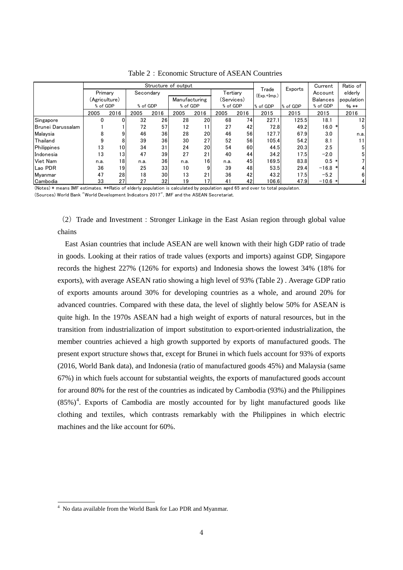|                   |               | Structure of output |           |      |               |      |            |      |                        | Current  | Ratio of        |                |
|-------------------|---------------|---------------------|-----------|------|---------------|------|------------|------|------------------------|----------|-----------------|----------------|
|                   | Primary       |                     | Secondary |      |               |      | Tertiary   |      | Trade<br>$(Exp.+Imp.)$ | Exports  | Account         | elderly        |
|                   | (Agriculture) |                     |           |      | Manufacturing |      | (Services) |      |                        |          | <b>Balances</b> | population     |
|                   | % of GDP      |                     | % of GDP  |      | % of GDP      |      | % of GDP   |      | % of GDP               | % of GDP | % of GDP        | $%$ **         |
|                   | 2005          | 2016                | 2005      | 2016 | 2005          | 2016 | 2005       | 2016 | 2015                   | 2015     | 2015            | 2016           |
| Singapore         |               |                     | 32        | 26   | 28            | 20   | 68         | 74   | 227.1                  | 125.5    | 18.1            | 12             |
| Brunei Darussalam |               |                     | 72        | 57   | 12            | 11   | 27         | 42   | 72.8                   | 49.2     | 16.0<br>∗       | 5 <sup>1</sup> |
| Malaysia          | 8             | 9                   | 46        | 36   | 28            | 20   | 46         | 56   | 127.7                  | 67.9     | 3.0             | n.a.           |
| Thailand          | 9             | 8                   | 39        | 36   | 30            | 27   | 52         | 56   | 105.4                  | 54.2     | 8.1             | 11             |
| Philippines       | 13            | 10 <sup>1</sup>     | 34        | 31   | 24            | 20   | 54         | 60   | 44.5                   | 20.3     | 2.5             | 5 <sup>1</sup> |
| Indonesia         | 13            | 13                  | 47        | 39   | 27            | 21   | 40         | 44   | 34.2                   | 17.5     | $-2.0$          | 5 <sup>1</sup> |
| Viet Nam          | n.a.          | 18                  | n.a.      | 36   | n.a.          | 16   | n.a.       | 45   | 169.5                  | 83.8     | $0.5 *$         |                |
| Lao PDR           | 36            | 19                  | 25        | 33   | 10            | 9    | 39         | 48   | 53.5                   | 29.4     | $-16.8$ *       | 4              |
| Mvanmar           | 47            | 28                  | 18        | 30   | 13            | 21   | 36         | 42   | 43.2                   | 17.5     | $-5.2$          | 6 <sup>1</sup> |
| Cambodia          | 33            | 27                  | 27        | 32   | 19            | 17   | 41         | 42   | 106.6                  | 47.9     | $-10.6$ *       | $\vert$        |

Table 2: Economic Structure of ASEAN Countries

(Notes) \* means IMF estimates. \*\*Ratio of elderly population is calculated by population aged 65 and over to total populaton.

(Sources) World Bank "World Development Indicators 2017", IMF and the ASEAN Secretariat.

(2)Trade and Investment:Stronger Linkage in the East Asian region through global value chains

East Asian countries that include ASEAN are well known with their high GDP ratio of trade in goods. Looking at their ratios of trade values (exports and imports) against GDP, Singapore records the highest 227% (126% for exports) and Indonesia shows the lowest 34% (18% for exports), with average ASEAN ratio showing a high level of 93% (Table 2) . Average GDP ratio of exports amounts around 30% for developing countries as a whole, and around 20% for advanced countries. Compared with these data, the level of slightly below 50% for ASEAN is quite high. In the 1970s ASEAN had a high weight of exports of natural resources, but in the transition from industrialization of import substitution to export-oriented industrialization, the member countries achieved a high growth supported by exports of manufactured goods. The present export structure shows that, except for Brunei in which fuels account for 93% of exports (2016, World Bank data), and Indonesia (ratio of manufactured goods 45%) and Malaysia (same 67%) in which fuels account for substantial weights, the exports of manufactured goods account for around 80% for the rest of the countries as indicated by Cambodia (93%) and the Philippines  $(85%)<sup>4</sup>$  $(85%)<sup>4</sup>$  $(85%)<sup>4</sup>$ . Exports of Cambodia are mostly accounted for by light manufactured goods like clothing and textiles, which contrasts remarkably with the Philippines in which electric machines and the like account for 60%.

<span id="page-3-0"></span><sup>&</sup>lt;sup>4</sup> No data available from the World Bank for Lao PDR and Myanmar.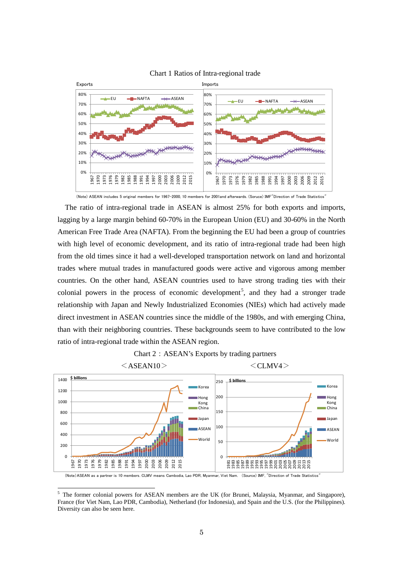

Chart 1 Ratios of Intra-regional trade

The ratio of intra-regional trade in ASEAN is almost 25% for both exports and imports, lagging by a large margin behind 60-70% in the European Union (EU) and 30-60% in the North American Free Trade Area (NAFTA). From the beginning the EU had been a group of countries with high level of economic development, and its ratio of intra-regional trade had been high from the old times since it had a well-developed transportation network on land and horizontal trades where mutual trades in manufactured goods were active and vigorous among member countries. On the other hand, ASEAN countries used to have strong trading ties with their colonial powers in the process of economic development<sup>[5](#page-4-0)</sup>, and they had a stronger trade relationship with Japan and Newly Industrialized Economies (NIEs) which had actively made direct investment in ASEAN countries since the middle of the 1980s, and with emerging China, than with their neighboring countries. These backgrounds seem to have contributed to the low ratio of intra-regional trade within the ASEAN region.





(Note)ASEAN as a partner is 10 members. CLMV means Cambodia, Lao PDR, Myanmar, Viet Nam. (Source) IMF, "Direction of Trade Statistics"

<sup>(</sup>Note) ASEAN includes 5 original members for 1967-2000, 10 members for 2001and afterwards. (Soruce) IMF"Direction of Trade Statistics"

<span id="page-4-0"></span><sup>1</sup> <sup>5</sup> The former colonial powers for ASEAN members are the UK (for Brunei, Malaysia, Myanmar, and Singapore), France (for Viet Nam, Lao PDR, Cambodia), Netherland (for Indonesia), and Spain and the U.S. (for the Philippines). Diversity can also be seen here.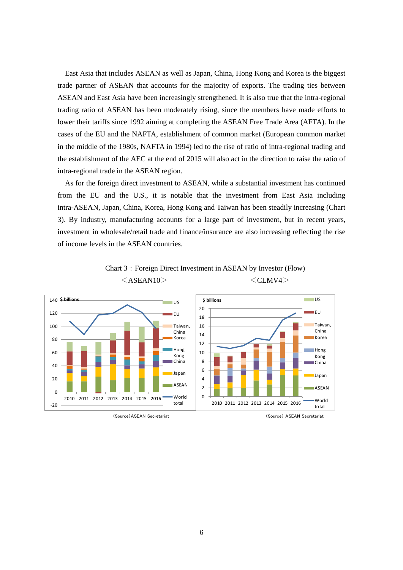East Asia that includes ASEAN as well as Japan, China, Hong Kong and Korea is the biggest trade partner of ASEAN that accounts for the majority of exports. The trading ties between ASEAN and East Asia have been increasingly strengthened. It is also true that the intra-regional trading ratio of ASEAN has been moderately rising, since the members have made efforts to lower their tariffs since 1992 aiming at completing the ASEAN Free Trade Area (AFTA). In the cases of the EU and the NAFTA, establishment of common market (European common market in the middle of the 1980s, NAFTA in 1994) led to the rise of ratio of intra-regional trading and the establishment of the AEC at the end of 2015 will also act in the direction to raise the ratio of intra-regional trade in the ASEAN region.

As for the foreign direct investment to ASEAN, while a substantial investment has continued from the EU and the U.S., it is notable that the investment from East Asia including intra-ASEAN, Japan, China, Korea, Hong Kong and Taiwan has been steadily increasing (Chart 3). By industry, manufacturing accounts for a large part of investment, but in recent years, investment in wholesale/retail trade and finance/insurance are also increasing reflecting the rise of income levels in the ASEAN countries.





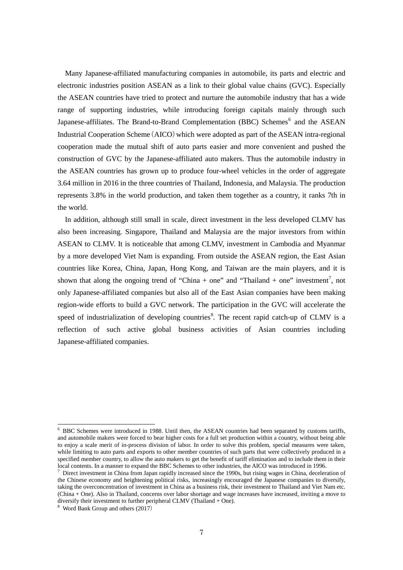Many Japanese-affiliated manufacturing companies in automobile, its parts and electric and electronic industries position ASEAN as a link to their global value chains (GVC). Especially the ASEAN countries have tried to protect and nurture the automobile industry that has a wide range of supporting industries, while introducing foreign capitals mainly through such Japanese-affiliates. The Brand-to-Brand Complementation (BBC) Schemes<sup>[6](#page-6-0)</sup> and the ASEAN Industrial Cooperation Scheme (AICO) which were adopted as part of the ASEAN intra-regional cooperation made the mutual shift of auto parts easier and more convenient and pushed the construction of GVC by the Japanese-affiliated auto makers. Thus the automobile industry in the ASEAN countries has grown up to produce four-wheel vehicles in the order of aggregate 3.64 million in 2016 in the three countries of Thailand, Indonesia, and Malaysia. The production represents 3.8% in the world production, and taken them together as a country, it ranks 7th in the world.

In addition, although still small in scale, direct investment in the less developed CLMV has also been increasing. Singapore, Thailand and Malaysia are the major investors from within ASEAN to CLMV. It is noticeable that among CLMV, investment in Cambodia and Myanmar by a more developed Viet Nam is expanding. From outside the ASEAN region, the East Asian countries like Korea, China, Japan, Hong Kong, and Taiwan are the main players, and it is shown that along the ongoing trend of "China + one" and "Thailand + one" investment<sup>[7](#page-6-1)</sup>, not only Japanese-affiliated companies but also all of the East Asian companies have been making region-wide efforts to build a GVC network. The participation in the GVC will accelerate the speed of industrialization of developing countries<sup>[8](#page-6-2)</sup>. The recent rapid catch-up of CLMV is a reflection of such active global business activities of Asian countries including Japanese-affiliated companies.

<span id="page-6-0"></span><sup>6</sup> BBC Schemes were introduced in 1988. Until then, the ASEAN countries had been separated by customs tariffs, and automobile makers were forced to bear higher costs for a full set production within a country, without being able to enjoy a scale merit of in-process division of labor. In order to solve this problem, special measures were taken, while limiting to auto parts and exports to other member countries of such parts that were collectively produced in a specified member country, to allow the auto makers to get the benefit of tariff elimination and to include them in their local contents. In a manner to expand the BBC Schemes to other industries, the AICO was introduced in 1996.

<span id="page-6-1"></span> $^7$  Direct investment in China from Japan rapidly increased since the 1990s, but rising wages in China, deceleration of the Chinese economy and heightening political risks, increasingly encouraged the Japanese companies to diversify, taking the overconcentration of investment in China as a business risk, their investment to Thailand and Viet Nam etc. (China + One). Also in Thailand, concerns over labor shortage and wage increases have increased, inviting a move to diversify their investment to further peripheral CLMV (Thailand + One).

<span id="page-6-2"></span><sup>8</sup> Word Bank Group and others (2017)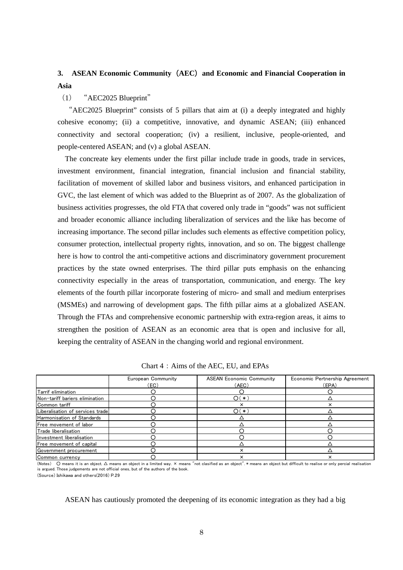## **3. ASEAN Economic Community**(**AEC**)**and Economic and Financial Cooperation in Asia**

(1) "AEC2025 Blueprint"

"AEC2025 Blueprint" consists of 5 pillars that aim at (i) a deeply integrated and highly cohesive economy; (ii) a competitive, innovative, and dynamic ASEAN; (iii) enhanced connectivity and sectoral cooperation; (iv) a resilient, inclusive, people-oriented, and people-centered ASEAN; and (v) a global ASEAN.

The concreate key elements under the first pillar include trade in goods, trade in services, investment environment, financial integration, financial inclusion and financial stability, facilitation of movement of skilled labor and business visitors, and enhanced participation in GVC, the last element of which was added to the Blueprint as of 2007. As the globalization of business activities progresses, the old FTA that covered only trade in "goods" was not sufficient and broader economic alliance including liberalization of services and the like has become of increasing importance. The second pillar includes such elements as effective competition policy, consumer protection, intellectual property rights, innovation, and so on. The biggest challenge here is how to control the anti-competitive actions and discriminatory government procurement practices by the state owned enterprises. The third pillar puts emphasis on the enhancing connectivity especially in the areas of transportation, communication, and energy. The key elements of the fourth pillar incorporate fostering of micro- and small and medium enterprises (MSMEs) and narrowing of development gaps. The fifth pillar aims at a globalized ASEAN. Through the FTAs and comprehensive economic partnership with extra-region areas, it aims to strengthen the position of ASEAN as an economic area that is open and inclusive for all, keeping the centrality of ASEAN in the changing world and regional environment.

|                                  | European Community | <b>ASEAN Economic Community</b> | Economic Pertnership Agreement |
|----------------------------------|--------------------|---------------------------------|--------------------------------|
|                                  | (EC)               | (AEC)                           | (EPA)                          |
| Tarrif elimination               |                    |                                 |                                |
| Non-tariff bariers elimination   |                    | $\bigcirc$ (*)                  |                                |
| Common tariff                    |                    |                                 |                                |
| Liberalisation of services trade |                    | ດ(∗`                            |                                |
| Harmonisation of Standards       |                    |                                 |                                |
| Free movement of labor           |                    |                                 |                                |
| Trade liberalisation             |                    |                                 |                                |
| Investment liberalisation        |                    |                                 |                                |
| Free movement of capital         |                    |                                 |                                |
| Government procurement           |                    | ×                               |                                |
| Common currency                  |                    |                                 |                                |

(Notes) O means it is an object. △ means an object in a limited way. × means "not clasified as an object". \* means an object but difficult to realise or only percial realisation is argued. Those judgements are not official ones, but of the authors of the book. (Source) Ishikawa and others(2016) P.29

ASEAN has cautiously promoted the deepening of its economic integration as they had a big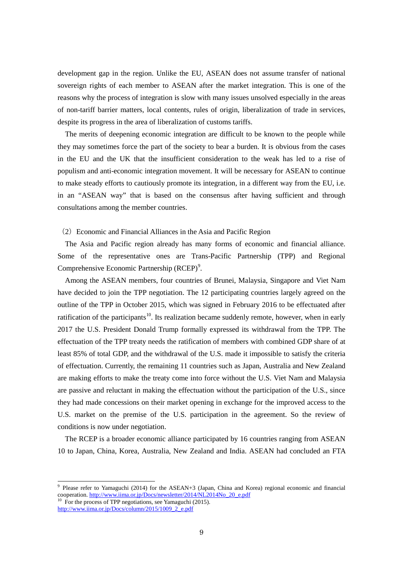development gap in the region. Unlike the EU, ASEAN does not assume transfer of national sovereign rights of each member to ASEAN after the market integration. This is one of the reasons why the process of integration is slow with many issues unsolved especially in the areas of non-tariff barrier matters, local contents, rules of origin, liberalization of trade in services, despite its progress in the area of liberalization of customs tariffs.

The merits of deepening economic integration are difficult to be known to the people while they may sometimes force the part of the society to bear a burden. It is obvious from the cases in the EU and the UK that the insufficient consideration to the weak has led to a rise of populism and anti-economic integration movement. It will be necessary for ASEAN to continue to make steady efforts to cautiously promote its integration, in a different way from the EU, i.e. in an "ASEAN way" that is based on the consensus after having sufficient and through consultations among the member countries.

### (2)Economic and Financial Alliances in the Asia and Pacific Region

The Asia and Pacific region already has many forms of economic and financial alliance. Some of the representative ones are Trans-Pacific Partnership (TPP) and Regional Comprehensive Economic Partnership (RCEP)<sup>[9](#page-8-0)</sup>.

Among the ASEAN members, four countries of Brunei, Malaysia, Singapore and Viet Nam have decided to join the TPP negotiation. The 12 participating countries largely agreed on the outline of the TPP in October 2015, which was signed in February 2016 to be effectuated after ratification of the participants<sup>[10](#page-8-1)</sup>. Its realization became suddenly remote, however, when in early 2017 the U.S. President Donald Trump formally expressed its withdrawal from the TPP. The effectuation of the TPP treaty needs the ratification of members with combined GDP share of at least 85% of total GDP, and the withdrawal of the U.S. made it impossible to satisfy the criteria of effectuation. Currently, the remaining 11 countries such as Japan, Australia and New Zealand are making efforts to make the treaty come into force without the U.S. Viet Nam and Malaysia are passive and reluctant in making the effectuation without the participation of the U.S., since they had made concessions on their market opening in exchange for the improved access to the U.S. market on the premise of the U.S. participation in the agreement. So the review of conditions is now under negotiation.

The RCEP is a broader economic alliance participated by 16 countries ranging from ASEAN 10 to Japan, China, Korea, Australia, New Zealand and India. ASEAN had concluded an FTA

<span id="page-8-0"></span><sup>9</sup> Please refer to Yamaguchi (2014) for the ASEAN+3 (Japan, China and Korea) regional economic and financial cooperation. [http://www.iima.or.jp/Docs/newsletter/2014/NL2014No\\_20\\_e.pdf](http://www.iima.or.jp/Docs/newsletter/2014/NL2014No_20_e.pdf) <sup>10</sup> For the process of TPP negotiations, see Yamaguchi (2015).

<span id="page-8-1"></span>[http://www.iima.or.jp/Docs/column/2015/1009\\_2\\_e.pdf](http://www.iima.or.jp/Docs/column/2015/1009_2_e.pdf)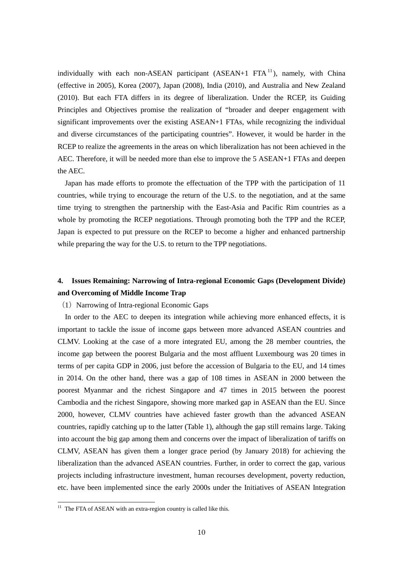individually with each non-ASEAN participant  $(ASEAN+1 FTA<sup>11</sup>)$  $(ASEAN+1 FTA<sup>11</sup>)$  $(ASEAN+1 FTA<sup>11</sup>)$ , namely, with China (effective in 2005), Korea (2007), Japan (2008), India (2010), and Australia and New Zealand (2010). But each FTA differs in its degree of liberalization. Under the RCEP, its Guiding Principles and Objectives promise the realization of "broader and deeper engagement with significant improvements over the existing ASEAN+1 FTAs, while recognizing the individual and diverse circumstances of the participating countries". However, it would be harder in the RCEP to realize the agreements in the areas on which liberalization has not been achieved in the AEC. Therefore, it will be needed more than else to improve the 5 ASEAN+1 FTAs and deepen the AEC.

Japan has made efforts to promote the effectuation of the TPP with the participation of 11 countries, while trying to encourage the return of the U.S. to the negotiation, and at the same time trying to strengthen the partnership with the East-Asia and Pacific Rim countries as a whole by promoting the RCEP negotiations. Through promoting both the TPP and the RCEP, Japan is expected to put pressure on the RCEP to become a higher and enhanced partnership while preparing the way for the U.S. to return to the TPP negotiations.

## **4. Issues Remaining: Narrowing of Intra-regional Economic Gaps (Development Divide) and Overcoming of Middle Income Trap**

### $(1)$  Narrowing of Intra-regional Economic Gaps

In order to the AEC to deepen its integration while achieving more enhanced effects, it is important to tackle the issue of income gaps between more advanced ASEAN countries and CLMV. Looking at the case of a more integrated EU, among the 28 member countries, the income gap between the poorest Bulgaria and the most affluent Luxembourg was 20 times in terms of per capita GDP in 2006, just before the accession of Bulgaria to the EU, and 14 times in 2014. On the other hand, there was a gap of 108 times in ASEAN in 2000 between the poorest Myanmar and the richest Singapore and 47 times in 2015 between the poorest Cambodia and the richest Singapore, showing more marked gap in ASEAN than the EU. Since 2000, however, CLMV countries have achieved faster growth than the advanced ASEAN countries, rapidly catching up to the latter (Table 1), although the gap still remains large. Taking into account the big gap among them and concerns over the impact of liberalization of tariffs on CLMV, ASEAN has given them a longer grace period (by January 2018) for achieving the liberalization than the advanced ASEAN countries. Further, in order to correct the gap, various projects including infrastructure investment, human recourses development, poverty reduction, etc. have been implemented since the early 2000s under the Initiatives of ASEAN Integration

<span id="page-9-0"></span> $11$  The FTA of ASEAN with an extra-region country is called like this.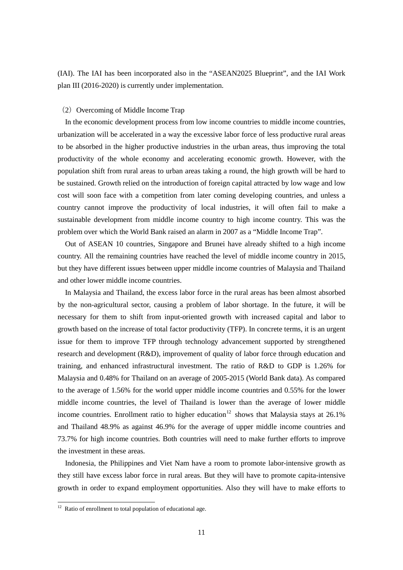(IAI). The IAI has been incorporated also in the "ASEAN2025 Blueprint", and the IAI Work plan III (2016-2020) is currently under implementation.

### $(2)$  Overcoming of Middle Income Trap

In the economic development process from low income countries to middle income countries, urbanization will be accelerated in a way the excessive labor force of less productive rural areas to be absorbed in the higher productive industries in the urban areas, thus improving the total productivity of the whole economy and accelerating economic growth. However, with the population shift from rural areas to urban areas taking a round, the high growth will be hard to be sustained. Growth relied on the introduction of foreign capital attracted by low wage and low cost will soon face with a competition from later coming developing countries, and unless a country cannot improve the productivity of local industries, it will often fail to make a sustainable development from middle income country to high income country. This was the problem over which the World Bank raised an alarm in 2007 as a "Middle Income Trap".

Out of ASEAN 10 countries, Singapore and Brunei have already shifted to a high income country. All the remaining countries have reached the level of middle income country in 2015, but they have different issues between upper middle income countries of Malaysia and Thailand and other lower middle income countries.

In Malaysia and Thailand, the excess labor force in the rural areas has been almost absorbed by the non-agricultural sector, causing a problem of labor shortage. In the future, it will be necessary for them to shift from input-oriented growth with increased capital and labor to growth based on the increase of total factor productivity (TFP). In concrete terms, it is an urgent issue for them to improve TFP through technology advancement supported by strengthened research and development (R&D), improvement of quality of labor force through education and training, and enhanced infrastructural investment. The ratio of R&D to GDP is 1.26% for Malaysia and 0.48% for Thailand on an average of 2005-2015 (World Bank data). As compared to the average of 1.56% for the world upper middle income countries and 0.55% for the lower middle income countries, the level of Thailand is lower than the average of lower middle income countries. Enrollment ratio to higher education<sup>12</sup> shows that Malaysia stays at 26.1% and Thailand 48.9% as against 46.9% for the average of upper middle income countries and 73.7% for high income countries. Both countries will need to make further efforts to improve the investment in these areas.

Indonesia, the Philippines and Viet Nam have a room to promote labor-intensive growth as they still have excess labor force in rural areas. But they will have to promote capita-intensive growth in order to expand employment opportunities. Also they will have to make efforts to

<span id="page-10-0"></span> $12$  Ratio of enrollment to total population of educational age.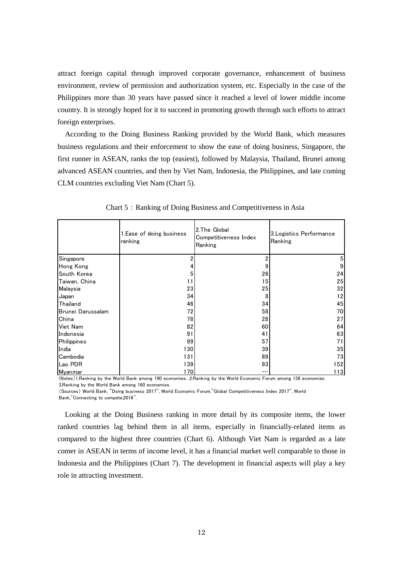attract foreign capital through improved corporate governance, enhancement of business environment, review of permission and authorization system, etc. Especially in the case of the Philippines more than 30 years have passed since it reached a level of lower middle income country. It is strongly hoped for it to succeed in promoting growth through such efforts to attract foreign enterprises.

According to the Doing Business Ranking provided by the World Bank, which measures business regulations and their enforcement to show the ease of doing business, Singapore, the first runner in ASEAN, ranks the top (easiest), followed by Malaysia, Thailand, Brunei among advanced ASEAN countries, and then by Viet Nam, Indonesia, the Philippines, and late coming CLM countries excluding Viet Nam (Chart 5).

|                   | 1. Ease of doing business<br>ranking | 2. The Global<br>Competitiveness Index<br>Ranking | 3. Logistics Performance<br>Ranking |
|-------------------|--------------------------------------|---------------------------------------------------|-------------------------------------|
| Singapore         |                                      | 2                                                 | 5                                   |
| Hong Kong         |                                      | 9                                                 | 9                                   |
| South Korea       | 5                                    | 26                                                | 24                                  |
| Taiwan, China     | 11                                   | 15                                                | 25                                  |
| Malaysia          | 23                                   | 25                                                | 32                                  |
| Japan             | 34                                   | 8                                                 | 12                                  |
| Thailand          | 46                                   | 34                                                | 45                                  |
| Brunei Darussalam | 72                                   | 58                                                | 70                                  |
| China             | 78                                   | 28                                                | 27                                  |
| Viet Nam          | 82                                   | 60                                                | 64                                  |
| Indonesia         | 91                                   | 41                                                | 63                                  |
| Philippines       | 99                                   | 57                                                | 71                                  |
| India             | 130                                  | 39                                                | 35                                  |
| Cambodia          | 131                                  | 89                                                | 73                                  |
| Lao PDR           | 139                                  | 93                                                | 152                                 |
| Myanmar           | 170                                  |                                                   | 113                                 |

Chart 5: Ranking of Doing Business and Competitiveness in Asia

(Notes)1.Ranking by the World Bank among 190 economies. .2.Ranking by the World Economic Forum among 138 economies. 3.Ranking by the World Bank among 160 economies.

(Sources) World Bank, "Doing business 2017", World Economic Forum,"Global Competitiveness Index 2017", World Bank,"Connecting to compete,2016".

Looking at the Doing Business ranking in more detail by its composite items, the lower ranked countries lag behind them in all items, especially in financially-related items as compared to the highest three countries (Chart 6). Although Viet Nam is regarded as a late comer in ASEAN in terms of income level, it has a financial market well comparable to those in Indonesia and the Philippines (Chart 7). The development in financial aspects will play a key role in attracting investment.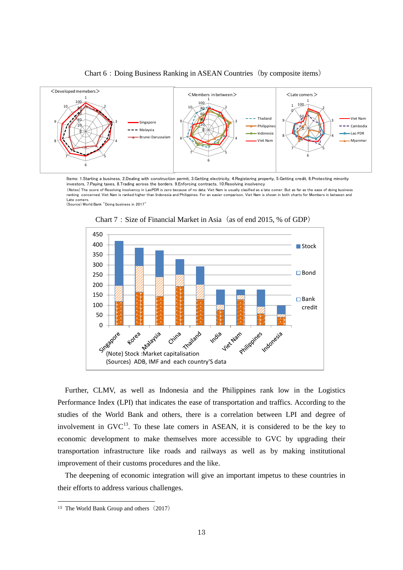

Chart 6: Doing Business Ranking in ASEAN Countries (by composite items)

Items: 1.Starting a business, 2.Dealing with construction permit, 3.Getting electricity, 4.Registering property, 5.Getting credit, 6.Protecting minority investors, 7.Paying taxes, 8.Trading across the borders. 9.Enforcing contracts, 10.Resolving insolvency

(Notes) The score of Resolving insolvency in LaoPDR is zero because of no data. Viet Nam is usually clasified as a late comer. But as far as the ease of doing business<br>ranking concerned, Viet Nam is ranked higher than Indo Late comers.

(Source) World Bank "Doing business in 2017"



Chart 7: Size of Financial Market in Asia (as of end 2015, % of GDP)

Further, CLMV, as well as Indonesia and the Philippines rank low in the Logistics Performance Index (LPI) that indicates the ease of transportation and traffics. According to the studies of the World Bank and others, there is a correlation between LPI and degree of involvement in  $GVC^{13}$  $GVC^{13}$  $GVC^{13}$ . To these late comers in ASEAN, it is considered to be the key to economic development to make themselves more accessible to GVC by upgrading their transportation infrastructure like roads and railways as well as by making institutional improvement of their customs procedures and the like.

The deepening of economic integration will give an important impetus to these countries in their efforts to address various challenges.

<span id="page-12-0"></span><sup>&</sup>lt;sup>13</sup> The World Bank Group and others  $(2017)$